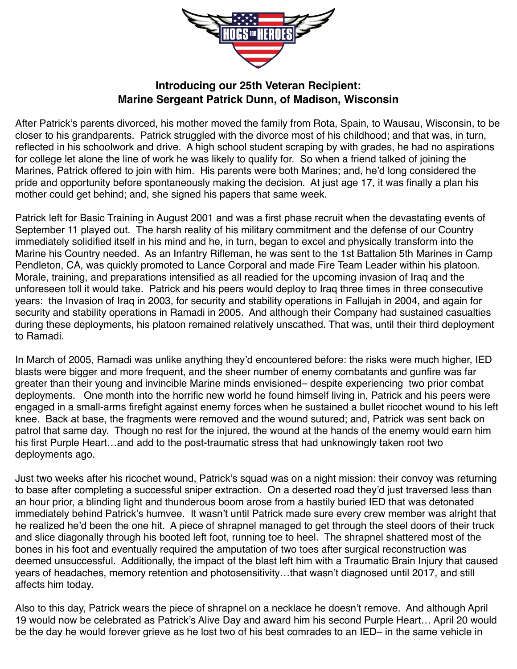

## **Introducing our 25th Veteran Recipient: Marine Sergeant Patrick Dunn, of Madison, Wisconsin**

After Patrick's parents divorced, his mother moved the family from Rota, Spain, to Wausau, Wisconsin, to be closer to his grandparents. Patrick struggled with the divorce most of his childhood; and that was, in turn, reflected in his schoolwork and drive. A high school student scraping by with grades, he had no aspirations for college let alone the line of work he was likely to qualify for. So when a friend talked of joining the Marines, Patrick offered to join with him. His parents were both Marines; and, he'd long considered the pride and opportunity before spontaneously making the decision. At just age 17, it was finally a plan his mother could get behind; and, she signed his papers that same week.

Patrick left for Basic Training in August 2001 and was a first phase recruit when the devastating events of September 11 played out. The harsh reality of his military commitment and the defense of our Country immediately solidified itself in his mind and he, in turn, began to excel and physically transform into the Marine his Country needed. As an Infantry Rifleman, he was sent to the 1st Battalion 5th Marines in Camp Pendleton, CA, was quickly promoted to Lance Corporal and made Fire Team Leader within his platoon. Morale, training, and preparations intensified as all readied for the upcoming invasion of Iraq and the unforeseen toll it would take. Patrick and his peers would deploy to Iraq three times in three consecutive years: the Invasion of Iraq in 2003, for security and stability operations in Fallujah in 2004, and again for security and stability operations in Ramadi in 2005. And although their Company had sustained casualties during these deployments, his platoon remained relatively unscathed. That was, until their third deployment to Ramadi.

In March of 2005, Ramadi was unlike anything they'd encountered before: the risks were much higher, IED blasts were bigger and more frequent, and the sheer number of enemy combatants and gunfire was far greater than their young and invincible Marine minds envisioned– despite experiencing two prior combat deployments. One month into the horrific new world he found himself living in, Patrick and his peers were engaged in a small-arms firefight against enemy forces when he sustained a bullet ricochet wound to his left knee. Back at base, the fragments were removed and the wound sutured; and, Patrick was sent back on patrol that same day. Though no rest for the injured, the wound at the hands of the enemy would earn him his first Purple Heart…and add to the post-traumatic stress that had unknowingly taken root two deployments ago.

Just two weeks after his ricochet wound, Patrick's squad was on a night mission: their convoy was returning to base after completing a successful sniper extraction. On a deserted road they'd just traversed less than an hour prior, a blinding light and thunderous boom arose from a hastily buried IED that was detonated immediately behind Patrick's humvee. It wasn't until Patrick made sure every crew member was alright that he realized he'd been the one hit. A piece of shrapnel managed to get through the steel doors of their truck and slice diagonally through his booted left foot, running toe to heel. The shrapnel shattered most of the bones in his foot and eventually required the amputation of two toes after surgical reconstruction was deemed unsuccessful. Additionally, the impact of the blast left him with a Traumatic Brain Injury that caused years of headaches, memory retention and photosensitivity…that wasn't diagnosed until 2017, and still affects him today.

Also to this day, Patrick wears the piece of shrapnel on a necklace he doesn't remove. And although April 19 would now be celebrated as Patrick's Alive Day and award him his second Purple Heart… April 20 would be the day he would forever grieve as he lost two of his best comrades to an IED– in the same vehicle in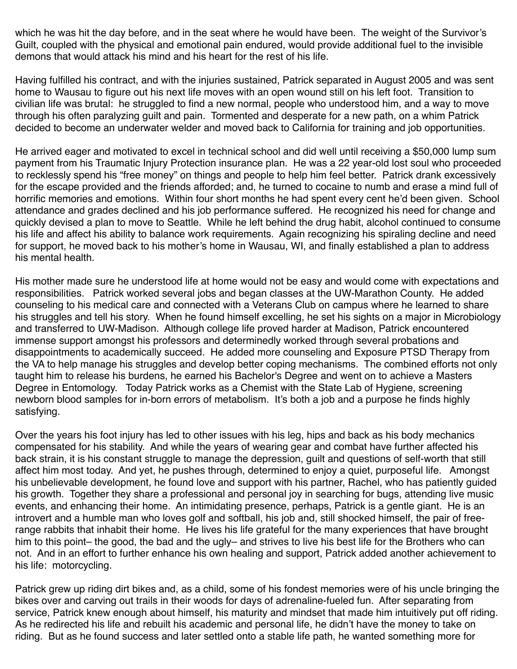which he was hit the day before, and in the seat where he would have been. The weight of the Survivor's Guilt, coupled with the physical and emotional pain endured, would provide additional fuel to the invisible demons that would attack his mind and his heart for the rest of his life.

Having fulfilled his contract, and with the injuries sustained, Patrick separated in August 2005 and was sent home to Wausau to figure out his next life moves with an open wound still on his left foot. Transition to civilian life was brutal: he struggled to find a new normal, people who understood him, and a way to move through his often paralyzing guilt and pain. Tormented and desperate for a new path, on a whim Patrick decided to become an underwater welder and moved back to California for training and job opportunities.

He arrived eager and motivated to excel in technical school and did well until receiving a \$50,000 lump sum payment from his Traumatic Injury Protection insurance plan. He was a 22 year-old lost soul who proceeded to recklessly spend his "free money" on things and people to help him feel better. Patrick drank excessively for the escape provided and the friends afforded; and, he turned to cocaine to numb and erase a mind full of horrific memories and emotions. Within four short months he had spent every cent he'd been given. School attendance and grades declined and his job performance suffered. He recognized his need for change and quickly devised a plan to move to Seattle. While he left behind the drug habit, alcohol continued to consume his life and affect his ability to balance work requirements. Again recognizing his spiraling decline and need for support, he moved back to his mother's home in Wausau, WI, and finally established a plan to address his mental health.

His mother made sure he understood life at home would not be easy and would come with expectations and responsibilities. Patrick worked several jobs and began classes at the UW-Marathon County. He added counseling to his medical care and connected with a Veterans Club on campus where he learned to share his struggles and tell his story. When he found himself excelling, he set his sights on a major in Microbiology and transferred to UW-Madison. Although college life proved harder at Madison, Patrick encountered immense support amongst his professors and determinedly worked through several probations and disappointments to academically succeed. He added more counseling and Exposure PTSD Therapy from the VA to help manage his struggles and develop better coping mechanisms. The combined efforts not only taught him to release his burdens, he earned his Bachelor's Degree and went on to achieve a Masters Degree in Entomology. Today Patrick works as a Chemist with the State Lab of Hygiene, screening newborn blood samples for in-born errors of metabolism. It's both a job and a purpose he finds highly satisfying.

Over the years his foot injury has led to other issues with his leg, hips and back as his body mechanics compensated for his stability. And while the years of wearing gear and combat have further affected his back strain, it is his constant struggle to manage the depression, guilt and questions of self-worth that still affect him most today. And yet, he pushes through, determined to enjoy a quiet, purposeful life. Amongst his unbelievable development, he found love and support with his partner, Rachel, who has patiently guided his growth. Together they share a professional and personal joy in searching for bugs, attending live music events, and enhancing their home. An intimidating presence, perhaps, Patrick is a gentle giant. He is an introvert and a humble man who loves golf and softball, his job and, still shocked himself, the pair of freerange rabbits that inhabit their home. He lives his life grateful for the many experiences that have brought him to this point– the good, the bad and the ugly– and strives to live his best life for the Brothers who can not. And in an effort to further enhance his own healing and support, Patrick added another achievement to his life: motorcycling.

Patrick grew up riding dirt bikes and, as a child, some of his fondest memories were of his uncle bringing the bikes over and carving out trails in their woods for days of adrenaline-fueled fun. After separating from service, Patrick knew enough about himself, his maturity and mindset that made him intuitively put off riding. As he redirected his life and rebuilt his academic and personal life, he didn't have the money to take on riding. But as he found success and later settled onto a stable life path, he wanted something more for